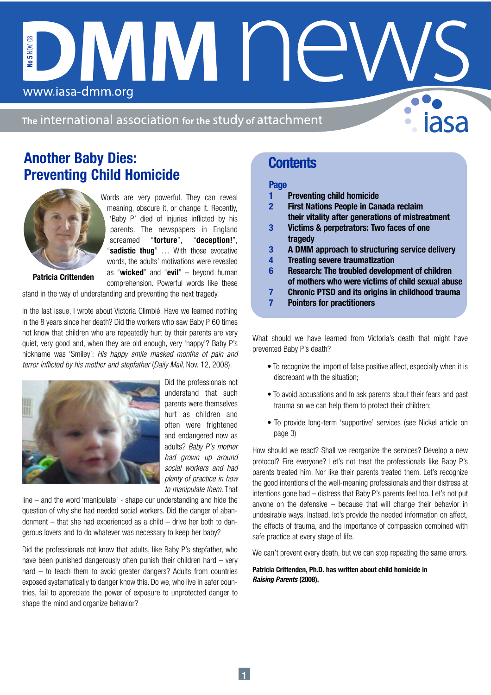The international association for the study of attachment

DIVINI N

# Another Baby Dies: Preventing Child Homicide

www.iasa-dmm.org



No 5 NOV.

Words are very powerful. They can reveal meaning, obscure it, or change it. Recently, 'Baby P' died of injuries inflicted by his parents. The newspapers in England screamed "torture", "deception!", "sadistic thug" ... With those evocative words, the adults' motivations were revealed as "wicked" and "evil"  $-$  beyond human comprehension. Powerful words like these

Patricia Crittenden

stand in the way of understanding and preventing the next tragedy.

In the last issue, I wrote about Victoria Climbié. Have we learned nothing in the 8 years since her death? Did the workers who saw Baby P 60 times not know that children who are repeatedly hurt by their parents are very quiet, very good and, when they are old enough, very 'happy'? Baby P's nickname was 'Smiley': His happy smile masked months of pain and terror inflicted by his mother and stepfather (Daily Mail, Nov. 12, 2008).



Did the professionals not understand that such parents were themselves hurt as children and often were frightened and endangered now as adults? Baby P's mother had grown up around social workers and had plenty of practice in how to manipulate them. That

line – and the word 'manipulate' - shape our understanding and hide the question of why she had needed social workers. Did the danger of abandonment – that she had experienced as a child – drive her both to dangerous lovers and to do whatever was necessary to keep her baby?

Did the professionals not know that adults, like Baby P's stepfather, who have been punished dangerously often punish their children hard – very hard – to teach them to avoid greater dangers? Adults from countries exposed systematically to danger know this. Do we, who live in safer countries, fail to appreciate the power of exposure to unprotected danger to shape the mind and organize behavior?

# **Contents**

## Page

- 1 Preventing child homicide
- 2 First Nations People in Canada reclaim their vitality after generations of mistreatment
- 3 Victims & perpetrators: Two faces of one tragedy
- 3 A DMM approach to structuring service delivery
- 4 Treating severe traumatization
- 6 Research: The troubled development of children of mothers who were victims of child sexual abuse
- 7 Chronic PTSD and its origins in childhood trauma
- 7 Pointers for practitioners

What should we have learned from Victoria's death that might have prevented Baby P's death?

- To recognize the import of false positive affect, especially when it is discrepant with the situation;
- To avoid accusations and to ask parents about their fears and past trauma so we can help them to protect their children;
- To provide long-term 'supportive' services (see Nickel article on page 3)

How should we react? Shall we reorganize the services? Develop a new protocol? Fire everyone? Let's not treat the professionals like Baby P's parents treated him. Nor like their parents treated them. Let's recognize the good intentions of the well-meaning professionals and their distress at intentions gone bad – distress that Baby P's parents feel too. Let's not put anyone on the defensive – because that will change their behavior in undesirable ways. Instead, let's provide the needed information on affect, the effects of trauma, and the importance of compassion combined with safe practice at every stage of life.

We can't prevent every death, but we can stop repeating the same errors.

#### Patricia Crittenden, Ph.D. has written about child homicide in Raising Parents (2008).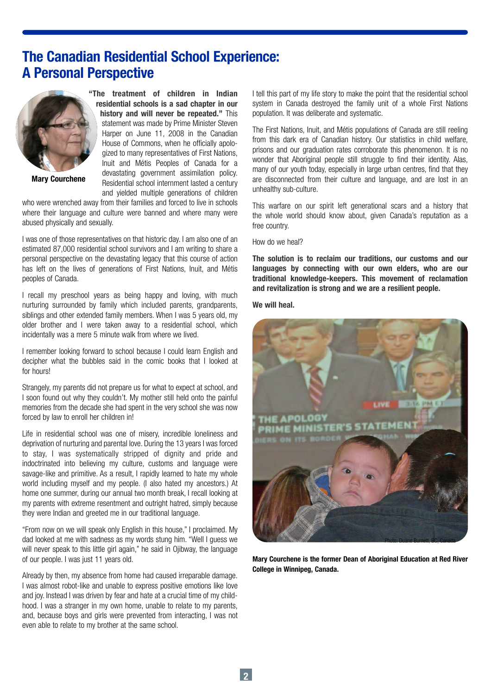# The Canadian Residential School Experience: A Personal Perspective



Mary Courchene

"The treatment of children in Indian residential schools is a sad chapter in our history and will never be repeated." This statement was made by Prime Minister Steven Harper on June 11, 2008 in the Canadian House of Commons, when he officially apologized to many representatives of First Nations, Inuit and Métis Peoples of Canada for a devastating government assimilation policy. Residential school internment lasted a century and yielded multiple generations of children

who were wrenched away from their families and forced to live in schools where their language and culture were banned and where many were abused physically and sexually.

I was one of those representatives on that historic day. I am also one of an estimated 87,000 residential school survivors and I am writing to share a personal perspective on the devastating legacy that this course of action has left on the lives of generations of First Nations, Inuit, and Métis peoples of Canada.

I recall my preschool years as being happy and loving, with much nurturing surrounded by family which included parents, grandparents, siblings and other extended family members. When I was 5 years old, my older brother and I were taken away to a residential school, which incidentally was a mere 5 minute walk from where we lived.

I remember looking forward to school because I could learn English and decipher what the bubbles said in the comic books that I looked at for hours!

Strangely, my parents did not prepare us for what to expect at school, and I soon found out why they couldn't. My mother still held onto the painful memories from the decade she had spent in the very school she was now forced by law to enroll her children in!

Life in residential school was one of misery, incredible loneliness and deprivation of nurturing and parental love. During the 13 years I was forced to stay, I was systematically stripped of dignity and pride and indoctrinated into believing my culture, customs and language were savage-like and primitive. As a result, I rapidly learned to hate my whole world including myself and my people. (I also hated my ancestors.) At home one summer, during our annual two month break, I recall looking at my parents with extreme resentment and outright hatred, simply because they were Indian and greeted me in our traditional language.

"From now on we will speak only English in this house," I proclaimed. My dad looked at me with sadness as my words stung him. "Well I guess we will never speak to this little girl again," he said in Oiibway, the language of our people. I was just 11 years old.

Already by then, my absence from home had caused irreparable damage. I was almost robot-like and unable to express positive emotions like love and joy. Instead I was driven by fear and hate at a crucial time of my childhood. I was a stranger in my own home, unable to relate to my parents, and, because boys and girls were prevented from interacting, I was not even able to relate to my brother at the same school.

I tell this part of my life story to make the point that the residential school system in Canada destroyed the family unit of a whole First Nations population. It was deliberate and systematic.

The First Nations, Inuit, and Métis populations of Canada are still reeling from this dark era of Canadian history. Our statistics in child welfare, prisons and our graduation rates corroborate this phenomenon. It is no wonder that Aboriginal people still struggle to find their identity. Alas, many of our youth today, especially in large urban centres, find that they are disconnected from their culture and language, and are lost in an unhealthy sub-culture.

This warfare on our spirit left generational scars and a history that the whole world should know about, given Canada's reputation as a free country.

How do we heal?

The solution is to reclaim our traditions, our customs and our languages by connecting with our own elders, who are our traditional knowledge-keepers. This movement of reclamation and revitalization is strong and we are a resilient people.

We will heal.



Mary Courchene is the former Dean of Aboriginal Education at Red River College in Winnipeg, Canada.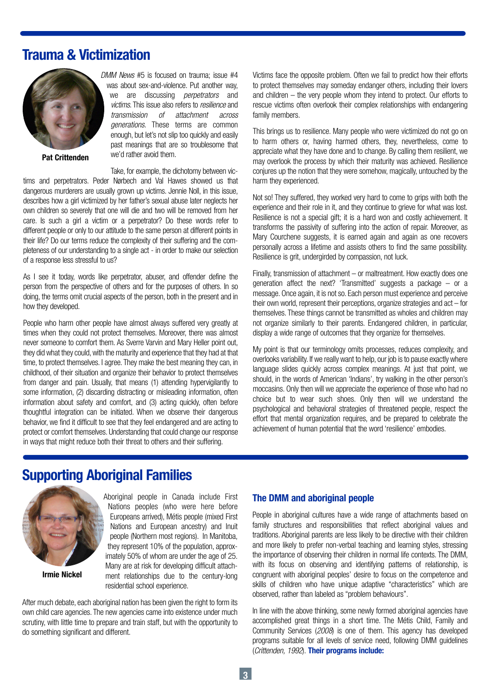# Trauma & Victimization



Pat Crittenden

DMM News #5 is focused on trauma; issue #4 was about sex-and-violence. Put another way, we are discussing *perpetrators* and victims. This issue also refers to resilience and transmission of attachment across generations. These terms are common enough, but let's not slip too quickly and easily past meanings that are so troublesome that we'd rather avoid them.

Take, for example, the dichotomy between victims and perpetrators. Peder Nørbech and Val Hawes showed us that dangerous murderers are usually grown up victims. Jennie Noll, in this issue, describes how a girl victimized by her father's sexual abuse later neglects her own children so severely that one will die and two will be removed from her care. Is such a girl a victim or a perpetrator? Do these words refer to different people or only to our attitude to the same person at different points in their life? Do our terms reduce the complexity of their suffering and the completeness of our understanding to a single act - in order to make our selection of a response less stressful to us?

As I see it today, words like perpetrator, abuser, and offender define the person from the perspective of others and for the purposes of others. In so doing, the terms omit crucial aspects of the person, both in the present and in how they developed.

People who harm other people have almost always suffered very greatly at times when they could not protect themselves. Moreover, there was almost never someone to comfort them. As Sverre Varvin and Mary Heller point out, they did what they could, with the maturity and experience that they had at that time, to protect themselves. I agree. They make the best meaning they can, in childhood, of their situation and organize their behavior to protect themselves from danger and pain. Usually, that means (1) attending hypervigilantly to some information, (2) discarding distracting or misleading information, often information about safety and comfort, and (3) acting quickly, often before thoughtful integration can be initiated. When we observe their dangerous behavior, we find it difficult to see that they feel endangered and are acting to protect or comfort themselves. Understanding that could change our response in ways that might reduce both their threat to others and their suffering.

Victims face the opposite problem. Often we fail to predict how their efforts to protect themselves may someday endanger others, including their lovers and children – the very people whom they intend to protect. Our efforts to rescue victims often overlook their complex relationships with endangering family members.

This brings us to resilience. Many people who were victimized do not go on to harm others or, having harmed others, they, nevertheless, come to appreciate what they have done and to change. By calling them resilient, we may overlook the process by which their maturity was achieved. Resilience conjures up the notion that they were somehow, magically, untouched by the harm they experienced.

Not so! They suffered, they worked very hard to come to grips with both the experience and their role in it, and they continue to grieve for what was lost. Resilience is not a special gift; it is a hard won and costly achievement. It transforms the passivity of suffering into the action of repair. Moreover, as Mary Courchene suggests, it is earned again and again as one recovers personally across a lifetime and assists others to find the same possibility. Resilience is grit, undergirded by compassion, not luck.

Finally, transmission of attachment – or maltreatment. How exactly does one generation affect the next? 'Transmitted' suggests a package – or a message.Once again, it is not so. Each person must experience and perceive their own world, represent their perceptions, organize strategies and  $act - for$ themselves. These things cannot be transmitted as wholes and children may not organize similarly to their parents. Endangered children, in particular, display a wide range of outcomes that they organize for themselves.

My point is that our terminology omits processes, reduces complexity, and overlooks variability. If we really want to help, our job is to pause exactly where language slides quickly across complex meanings. At just that point, we should, in the words of American 'Indians', try walking in the other person's moccasins.Only then will we appreciate the experience of those who had no choice but to wear such shoes. Only then will we understand the psychological and behavioral strategies of threatened people, respect the effort that mental organization requires, and be prepared to celebrate the achievement of human potential that the word 'resilience' embodies.

# Supporting Aboriginal Families



Irmie Nickel

Aboriginal people in Canada include First Nations peoples (who were here before Europeans arrived), Métis people (mixed First Nations and European ancestry) and Inuit people (Northern most regions). In Manitoba, they represent 10% of the population, approximately 50% of whom are under the age of 25. Many are at risk for developing difficult attachment relationships due to the century-long residential school experience.

After much debate, each aboriginal nation has been given the right to form its own child care agencies. The new agencies came into existence under much scrutiny, with little time to prepare and train staff, but with the opportunity to do something significant and different.

## The DMM and aboriginal people

People in aboriginal cultures have a wide range of attachments based on family structures and responsibilities that reflect aboriginal values and traditions. Aboriginal parents are less likely to be directive with their children and more likely to prefer non-verbal teaching and learning styles, stressing the importance of observing their children in normal life contexts. The DMM, with its focus on observing and identifying patterns of relationship, is congruent with aboriginal peoples' desire to focus on the competence and skills of children who have unique adaptive "characteristics" which are observed, rather than labeled as "problem behaviours".

In line with the above thinking, some newly formed aboriginal agencies have accomplished great things in a short time. The Métis Child, Family and Community Services (2008) is one of them. This agency has developed programs suitable for all levels of service need, following DMM guidelines (Crittenden, 1992). Their programs include: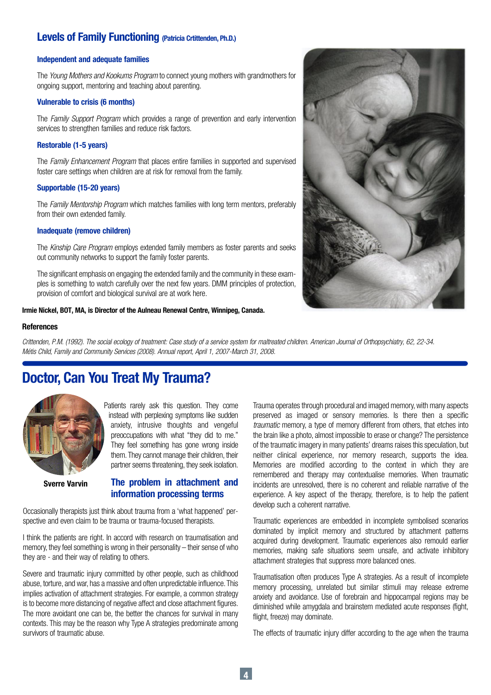# Levels of Family Functioning (Patricia Crtittenden, Ph.D.)

#### Independent and adequate families

The Young Mothers and Kookums Program to connect young mothers with grandmothers for ongoing support, mentoring and teaching about parenting.

#### Vulnerable to crisis (6 months)

The Family Support Program which provides a range of prevention and early intervention services to strengthen families and reduce risk factors.

#### Restorable (1-5 years)

The Family Enhancement Program that places entire families in supported and supervised foster care settings when children are at risk for removal from the family.

### Supportable (15-20 years)

The Family Mentorship Program which matches families with long term mentors, preferably from their own extended family.

#### Inadequate (remove children)

The Kinship Care Program employs extended family members as foster parents and seeks out community networks to support the family foster parents.

The significant emphasis on engaging the extended family and the community in these examples is something to watch carefully over the next few years. DMM principles of protection, provision of comfort and biological survival are at work here.

#### Irmie Nickel, BOT, MA, is Director of the Aulneau Renewal Centre, Winnipeg, Canada.

#### **References**

Crittenden, P.M. (1992). The social ecology of treatment: Case study of a service system for maltreated children. American Journal of Orthopsychiatry, 62, 22-34. Métis Child, Family and Community Services (2008). Annual report, April 1, 2007-March 31, 2008.

# Doctor, Can You Treat My Trauma?



Patients rarely ask this question. They come instead with perplexing symptoms like sudden anxiety, intrusive thoughts and vengeful preoccupations with what "they did to me." They feel something has gone wrong inside them. They cannot manage their children, their partner seems threatening, they seek isolation.

Sverre Varvin

## The problem in attachment and information processing terms

Occasionally therapists just think about trauma from a 'what happened' perspective and even claim to be trauma or trauma-focused therapists.

I think the patients are right. In accord with research on traumatisation and memory, they feel something is wrong in their personality – their sense of who they are - and their way of relating to others.

Severe and traumatic injury committed by other people, such as childhood abuse, torture, and war, has a massive and often unpredictable influence.This implies activation of attachment strategies. For example, a common strategy is to become more distancing of negative affect and close attachment figures. The more avoidant one can be, the better the chances for survival in many contexts. This may be the reason why Type A strategies predominate among survivors of traumatic abuse.

Trauma operates through procedural and imaged memory, with many aspects preserved as imaged or sensory memories. Is there then a specific traumatic memory, a type of memory different from others, that etches into the brain like a photo, almost impossible to erase or change? The persistence of the traumatic imagery in many patients' dreams raises this speculation, but neither clinical experience, nor memory research, supports the idea. Memories are modified according to the context in which they are remembered and therapy may contextualise memories. When traumatic incidents are unresolved, there is no coherent and reliable narrative of the experience. A key aspect of the therapy, therefore, is to help the patient develop such a coherent narrative.

Traumatic experiences are embedded in incomplete symbolised scenarios dominated by implicit memory and structured by attachment patterns acquired during development. Traumatic experiences also remould earlier memories, making safe situations seem unsafe, and activate inhibitory attachment strategies that suppress more balanced ones.

Traumatisation often produces Type A strategies. As a result of incomplete memory processing, unrelated but similar stimuli may release extreme anxiety and avoidance. Use of forebrain and hippocampal regions may be diminished while amygdala and brainstem mediated acute responses (fight, flight, freeze) may dominate.

The effects of traumatic injury differ according to the age when the trauma

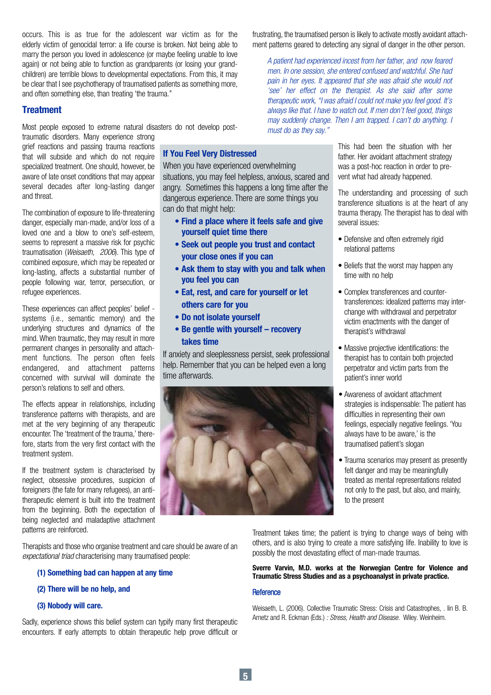occurs. This is as true for the adolescent war victim as for the elderly victim of genocidal terror: a life course is broken. Not being able to marry the person you loved in adolescence (or maybe feeling unable to love again) or not being able to function as grandparents (or losing your grandchildren) are terrible blows to developmental expectations. From this, it may be clear that I see psychotherapy of traumatised patients as something more, and often something else, than treating 'the trauma.''

## **Treatment**

Most people exposed to extreme natural disasters do not develop post-

traumatic disorders. Many experience strong grief reactions and passing trauma reactions that will subside and which do not require specialized treatment. One should, however, be aware of late onset conditions that may appear several decades after long-lasting danger and threat.

The combination of exposure to life-threatening danger, especially man-made, and/or loss of a loved one and a blow to one's self-esteem, seems to represent a massive risk for psychic traumatisation (Weisaeth, 2006). This type of combined exposure, which may be repeated or long-lasting, affects a substantial number of people following war, terror, persecution, or refugee experiences.

These experiences can affect peoples' belief systems (i.e., semantic memory) and the underlying structures and dynamics of the mind. When traumatic, they may result in more permanent changes in personality and attachment functions. The person often feels endangered, and attachment patterns concerned with survival will dominate the person's relations to self and others.

The effects appear in relationships, including transference patterns with therapists, and are met at the very beginning of any therapeutic encounter. The 'treatment of the trauma,' therefore, starts from the very first contact with the treatment system.

If the treatment system is characterised by neglect, obsessive procedures, suspicion of foreigners (the fate for many refugees), an antitherapeutic element is built into the treatment from the beginning. Both the expectation of being neglected and maladaptive attachment patterns are reinforced.

Therapists and those who organise treatment and care should be aware of an expectational triad characterising many traumatised people:

## (1) Something bad can happen at any time

### (2) There will be no help, and

### (3) Nobody will care.

Sadly, experience shows this belief system can typify many first therapeutic encounters. If early attempts to obtain therapeutic help prove difficult or

frustrating, the traumatised person is likely to activate mostly avoidant attachment patterns geared to detecting any signal of danger in the other person.

A patient had experienced incest from her father, and now feared men. In one session, she entered confused and watchful. She had pain in her eyes. It appeared that she was afraid she would not 'see' her effect on the therapist. As she said after some therapeutic work, "I was afraid I could not make you feel good. It's always like that. I have to watch out. If men don't feel good, things may suddenly change. Then I am trapped. I can't do anything. I must do as they say."

If You Feel Very Distressed

When you have experienced overwhelming situations, you may feel helpless, anxious, scared and angry. Sometimes this happens a long time after the dangerous experience. There are some things you can do that might help:

- Find a place where it feels safe and give yourself quiet time there
- Seek out people you trust and contact your close ones if you can
- Ask them to stay with you and talk when you feel you can
- Eat, rest, and care for yourself or let others care for you
- Do not isolate yourself
- Be gentle with yourself recovery takes time

If anxiety and sleeplessness persist, seek professional help. Remember that you can be helped even a long time afterwards.



This had been the situation with her father. Her avoidant attachment strategy was a post-hoc reaction in order to prevent what had already happened.

The understanding and processing of such transference situations is at the heart of any trauma therapy. The therapist has to deal with several issues:

- Defensive and often extremely rigid relational patterns
- Beliefs that the worst may happen any time with no help
- Complex transferences and countertransferences: idealized patterns may interchange with withdrawal and perpetrator victim enactments with the danger of therapist's withdrawal
- Massive projective identifications: the therapist has to contain both projected perpetrator and victim parts from the patient's inner world
- Awareness of avoidant attachment strategies is indispensable: The patient has difficulties in representing their own feelings, especially negative feelings. 'You always have to be aware,' is the traumatised patient's slogan
- Trauma scenarios may present as presently felt danger and may be meaningfully treated as mental representations related not only to the past, but also, and mainly, to the present

Treatment takes time; the patient is trying to change ways of being with others, and is also trying to create a more satisfying life. Inability to love is possibly the most devastating effect of man-made traumas.

### Sverre Varvin, M.D. works at the Norwegian Centre for Violence and Traumatic Stress Studies and as a psychoanalyst in private practice.

### Reference

Weisaeth, L. (2006). Collective Traumatic Stress: Crisis and Catastrophes, . Iin B. B. Arnetz and R. Eckman (Eds.) : Stress, Health and Disease. Wiley. Weinheim.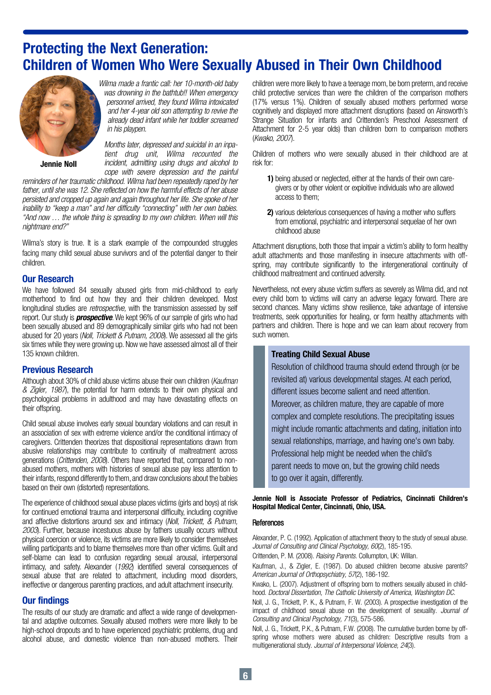# Protecting the Next Generation: Children of Women Who Were Sexually Abused in Their Own Childhood



and her 4-year old son attempting to revive the already dead infant while her toddler screamed in his playpen.

Jennie Noll

Months later, depressed and suicidal in an inpatient drug unit, Wilma recounted the incident, admitting using drugs and alcohol to

was drowning in the bathtub!! When emergency personnel arrived, they found Wilma intoxicated

cope with severe depression and the painful reminders of her traumatic childhood. Wilma had been repeatedly raped by her father, until she was 12. She reflected on how the harmful effects of her abuse persisted and cropped up again and again throughout her life. She spoke of her inability to "keep a man" and her difficulty "connecting" with her own babies. "And now … the whole thing is spreading to my own children. When will this nightmare end?"

Wilma's story is true. It is a stark example of the compounded struggles facing many child sexual abuse survivors and of the potential danger to their children.

## Our Research

We have followed 84 sexually abused girls from mid-childhood to early motherhood to find out how they and their children developed. Most longitudinal studies are *retrospective*, with the transmission assessed by self report. Our study is **prospective**. We kept 96% of our sample of girls who had been sexually abused and 89 demographically similar girls who had not been abused for 20 years (Noll, Trickett & Putnam, 2008). We assessed all the girls six times while they were growing up. Now we have assessed almost all of their 135 known children.

## Previous Research

Although about 30% of child abuse victims abuse their own children (Kaufman & Zigler, 1987), the potential for harm extends to their own physical and psychological problems in adulthood and may have devastating effects on their offspring.

Child sexual abuse involves early sexual boundary violations and can result in an association of sex with extreme violence and/or the conditional intimacy of caregivers. Crittenden theorizes that dispositional representations drawn from abusive relationships may contribute to continuity of maltreatment across generations (Crittenden, 2008). Others have reported that, compared to nonabused mothers, mothers with histories of sexual abuse pay less attention to their infants, respond differently to them, and draw conclusions about the babies based on their own (distorted) representations.

The experience of childhood sexual abuse places victims (girls and boys) at risk for continued emotional trauma and interpersonal difficulty, including cognitive and affective distortions around sex and intimacy (Noll, Trickett, & Putnam, 2003). Further, because incestuous abuse by fathers usually occurs without physical coercion or violence, its victims are more likely to consider themselves willing participants and to blame themselves more than other victims. Guilt and self-blame can lead to confusion regarding sexual arousal, interpersonal intimacy, and safety. Alexander (1992) identified several consequences of sexual abuse that are related to attachment, including mood disorders, ineffective or dangerous parenting practices, and adult attachment insecurity.

## Our findings

The results of our study are dramatic and affect a wide range of developmental and adaptive outcomes. Sexually abused mothers were more likely to be high-school dropouts and to have experienced psychiatric problems, drug and alcohol abuse, and domestic violence than non-abused mothers. Their

children were more likely to have a teenage mom, be born preterm, and receive child protective services than were the children of the comparison mothers (17% versus 1%). Children of sexually abused mothers performed worse cognitively and displayed more attachment disruptions (based on Ainsworth's Strange Situation for infants and Crittenden's Preschool Assessment of Attachment for 2-5 year olds) than children born to comparison mothers (Kwako, 2007).

Children of mothers who were sexually abused in their childhood are at risk for:

- 1) being abused or neglected, either at the hands of their own caregivers or by other violent or exploitive individuals who are allowed access to them;
- 2) various deleterious consequences of having a mother who suffers from emotional, psychiatric and interpersonal sequelae of her own childhood abuse

Attachment disruptions, both those that impair a victim's ability to form healthy adult attachments and those manifesting in insecure attachments with offspring, may contribute significantly to the intergenerational continuity of childhood maltreatment and continued adversity.

Nevertheless, not every abuse victim suffers as severely as Wilma did, and not every child born to victims will carry an adverse legacy forward. There are second chances. Many victims show resilience, take advantage of intensive treatments, seek opportunities for healing, or form healthy attachments with partners and children. There is hope and we can learn about recovery from such women.

## Treating Child Sexual Abuse

Resolution of childhood trauma should extend through (or be revisited at) various developmental stages. At each period, different issues become salient and need attention. Moreover, as children mature, they are capable of more complex and complete resolutions. The precipitating issues might include romantic attachments and dating, initiation into sexual relationships, marriage, and having one's own baby. Professional help might be needed when the child's parent needs to move on, but the growing child needs to go over it again, differently.

Jennie Noll is Associate Professor of Pediatrics, Cincinnati Children's Hospital Medical Center, Cincinnati, Ohio, USA.

### References

Alexander, P. C. (1992). Application of attachment theory to the study of sexual abuse. Journal of Consulting and Clinical Psychology, 60(2), 185-195.

Crittenden, P. M. (2008). Raising Parents. Collumpton, UK: Willan.

Kaufman, J., & Zigler, E. (1987). Do abused children become abusive parents? American Journal of Orthopsychiatry, 57(2), 186-192.

Kwako, L. (2007). Adjustment of offspring born to mothers sexually abused in childhood. Doctoral Dissertation, The Catholic University of America, Washington DC.

Noll, J. G., Trickett, P. K., & Putnam, F. W. (2003). A prospective investigation of the impact of childhood sexual abuse on the development of sexuality. Journal of Consulting and Clinical Psychology, 71(3), 575-586.

Noll, J. G., Trickett, P.K., & Putnam, F.W. (2008). The cumulative burden borne by offspring whose mothers were abused as children: Descriptive results from a multigenerational study. Journal of Interpersonal Violence, 24(3).